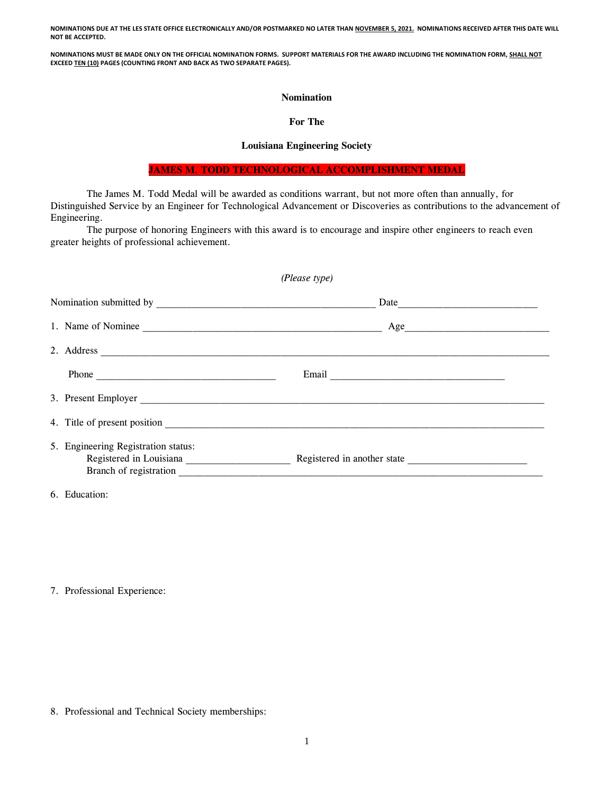**NOMINATIONS DUE AT THE LES STATE OFFICE ELECTRONICALLY AND/OR POSTMARKED NO LATER THAN NOVEMBER 5, 2021. NOMINATIONS RECEIVED AFTER THIS DATE WILL NOT BE ACCEPTED.**

**NOMINATIONS MUST BE MADE ONLY ON THE OFFICIAL NOMINATION FORMS. SUPPORT MATERIALS FOR THE AWARD INCLUDING THE NOMINATION FORM, SHALL NOT EXCEED TEN (10) PAGES (COUNTING FRONT AND BACK AS TWO SEPARATE PAGES).**

## **Nomination**

## **For The**

## **Louisiana Engineering Society**

**JAMES M. TODD TECHNOLOGICAL ACCOMPLISHMENT MEDAL**

The James M. Todd Medal will be awarded as conditions warrant, but not more often than annually, for Distinguished Service by an Engineer for Technological Advancement or Discoveries as contributions to the advancement of Engineering.

The purpose of honoring Engineers with this award is to encourage and inspire other engineers to reach even greater heights of professional achievement.

| (Please type) |                                                                                                           |  |  |
|---------------|-----------------------------------------------------------------------------------------------------------|--|--|
|               |                                                                                                           |  |  |
|               | 1. Name of Nominee                                                                                        |  |  |
|               | 2. Address 2. Address                                                                                     |  |  |
|               |                                                                                                           |  |  |
|               |                                                                                                           |  |  |
|               |                                                                                                           |  |  |
|               | 5. Engineering Registration status:<br>Branch of registration <b>and a set of the set of registration</b> |  |  |

6. Education:

7. Professional Experience:

8. Professional and Technical Society memberships: